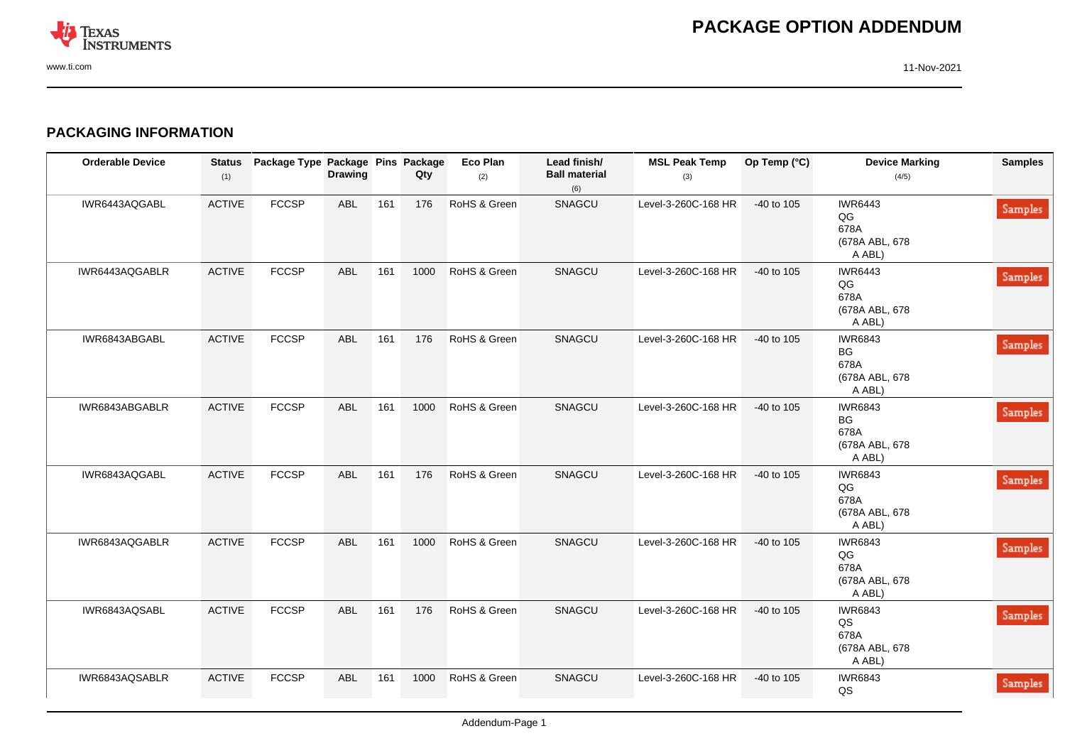

## **PACKAGING INFORMATION**

| <b>Orderable Device</b> | <b>Status</b><br>(1) | Package Type Package Pins Package | <b>Drawing</b> |     | Qty  | Eco Plan<br>(2) | Lead finish/<br><b>Ball material</b><br>(6) | <b>MSL Peak Temp</b><br>(3) | Op Temp (°C) | <b>Device Marking</b><br>(4/5)                           | <b>Samples</b> |
|-------------------------|----------------------|-----------------------------------|----------------|-----|------|-----------------|---------------------------------------------|-----------------------------|--------------|----------------------------------------------------------|----------------|
| IWR6443AQGABL           | <b>ACTIVE</b>        | <b>FCCSP</b>                      | <b>ABL</b>     | 161 | 176  | RoHS & Green    | SNAGCU                                      | Level-3-260C-168 HR         | -40 to 105   | <b>IWR6443</b><br>QG<br>678A<br>(678A ABL, 678<br>A ABL) | <b>Samples</b> |
| IWR6443AQGABLR          | <b>ACTIVE</b>        | <b>FCCSP</b>                      | <b>ABL</b>     | 161 | 1000 | RoHS & Green    | SNAGCU                                      | Level-3-260C-168 HR         | -40 to 105   | <b>IWR6443</b><br>QG<br>678A<br>(678A ABL, 678<br>A ABL) | <b>Samples</b> |
| IWR6843ABGABL           | <b>ACTIVE</b>        | <b>FCCSP</b>                      | <b>ABL</b>     | 161 | 176  | RoHS & Green    | SNAGCU                                      | Level-3-260C-168 HR         | -40 to 105   | <b>IWR6843</b><br>BG<br>678A<br>(678A ABL, 678<br>A ABL) | <b>Samples</b> |
| IWR6843ABGABLR          | <b>ACTIVE</b>        | <b>FCCSP</b>                      | <b>ABL</b>     | 161 | 1000 | RoHS & Green    | SNAGCU                                      | Level-3-260C-168 HR         | $-40$ to 105 | <b>IWR6843</b><br>BG<br>678A<br>(678A ABL, 678<br>A ABL) | <b>Samples</b> |
| IWR6843AQGABL           | <b>ACTIVE</b>        | <b>FCCSP</b>                      | <b>ABL</b>     | 161 | 176  | RoHS & Green    | SNAGCU                                      | Level-3-260C-168 HR         | -40 to 105   | <b>IWR6843</b><br>QG<br>678A<br>(678A ABL, 678<br>A ABL) | <b>Samples</b> |
| IWR6843AQGABLR          | <b>ACTIVE</b>        | <b>FCCSP</b>                      | <b>ABL</b>     | 161 | 1000 | RoHS & Green    | SNAGCU                                      | Level-3-260C-168 HR         | $-40$ to 105 | <b>IWR6843</b><br>QG<br>678A<br>(678A ABL, 678<br>A ABL) | <b>Samples</b> |
| IWR6843AQSABL           | <b>ACTIVE</b>        | <b>FCCSP</b>                      | <b>ABL</b>     | 161 | 176  | RoHS & Green    | SNAGCU                                      | Level-3-260C-168 HR         | -40 to 105   | <b>IWR6843</b><br>QS<br>678A<br>(678A ABL, 678<br>A ABL) | Samples        |
| IWR6843AQSABLR          | <b>ACTIVE</b>        | <b>FCCSP</b>                      | <b>ABL</b>     | 161 | 1000 | RoHS & Green    | SNAGCU                                      | Level-3-260C-168 HR         | $-40$ to 105 | <b>IWR6843</b><br>QS                                     | <b>Samples</b> |